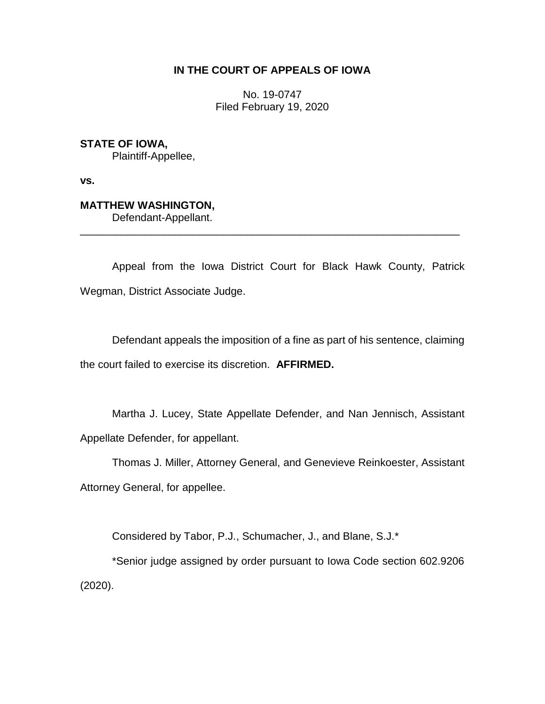## **IN THE COURT OF APPEALS OF IOWA**

No. 19-0747 Filed February 19, 2020

**STATE OF IOWA,** Plaintiff-Appellee,

**vs.**

# **MATTHEW WASHINGTON,**

Defendant-Appellant.

Appeal from the Iowa District Court for Black Hawk County, Patrick Wegman, District Associate Judge.

\_\_\_\_\_\_\_\_\_\_\_\_\_\_\_\_\_\_\_\_\_\_\_\_\_\_\_\_\_\_\_\_\_\_\_\_\_\_\_\_\_\_\_\_\_\_\_\_\_\_\_\_\_\_\_\_\_\_\_\_\_\_\_\_

Defendant appeals the imposition of a fine as part of his sentence, claiming the court failed to exercise its discretion. **AFFIRMED.**

Martha J. Lucey, State Appellate Defender, and Nan Jennisch, Assistant Appellate Defender, for appellant.

Thomas J. Miller, Attorney General, and Genevieve Reinkoester, Assistant Attorney General, for appellee.

Considered by Tabor, P.J., Schumacher, J., and Blane, S.J.\*

\*Senior judge assigned by order pursuant to Iowa Code section 602.9206 (2020).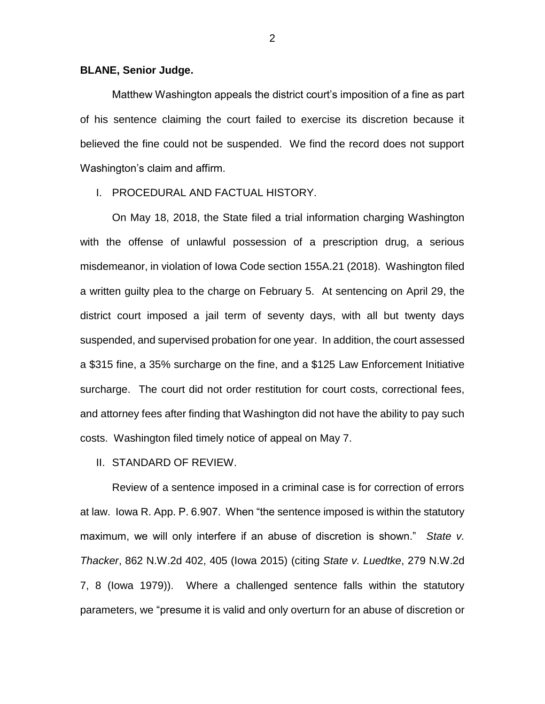### **BLANE, Senior Judge.**

Matthew Washington appeals the district court's imposition of a fine as part of his sentence claiming the court failed to exercise its discretion because it believed the fine could not be suspended. We find the record does not support Washington's claim and affirm.

## I. PROCEDURAL AND FACTUAL HISTORY.

On May 18, 2018, the State filed a trial information charging Washington with the offense of unlawful possession of a prescription drug, a serious misdemeanor, in violation of Iowa Code section 155A.21 (2018). Washington filed a written guilty plea to the charge on February 5. At sentencing on April 29, the district court imposed a jail term of seventy days, with all but twenty days suspended, and supervised probation for one year. In addition, the court assessed a \$315 fine, a 35% surcharge on the fine, and a \$125 Law Enforcement Initiative surcharge. The court did not order restitution for court costs, correctional fees, and attorney fees after finding that Washington did not have the ability to pay such costs. Washington filed timely notice of appeal on May 7.

#### II. STANDARD OF REVIEW.

Review of a sentence imposed in a criminal case is for correction of errors at law. Iowa R. App. P. 6.907. When "the sentence imposed is within the statutory maximum, we will only interfere if an abuse of discretion is shown." *State v. Thacker*, 862 N.W.2d 402, 405 (Iowa 2015) (citing *State v. Luedtke*, 279 N.W.2d 7, 8 (Iowa 1979)). Where a challenged sentence falls within the statutory parameters, we "presume it is valid and only overturn for an abuse of discretion or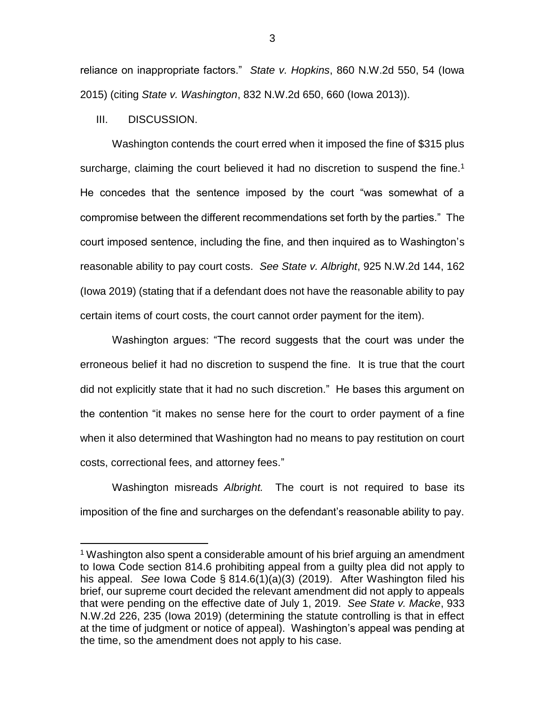reliance on inappropriate factors." *State v. Hopkins*, 860 N.W.2d 550, 54 (Iowa 2015) (citing *State v. Washington*, 832 N.W.2d 650, 660 (Iowa 2013)).

III. DISCUSSION.

 $\overline{a}$ 

Washington contends the court erred when it imposed the fine of \$315 plus surcharge, claiming the court believed it had no discretion to suspend the fine.<sup>1</sup> He concedes that the sentence imposed by the court "was somewhat of a compromise between the different recommendations set forth by the parties." The court imposed sentence, including the fine, and then inquired as to Washington's reasonable ability to pay court costs. *See State v. Albright*, 925 N.W.2d 144, 162 (Iowa 2019) (stating that if a defendant does not have the reasonable ability to pay certain items of court costs, the court cannot order payment for the item).

Washington argues: "The record suggests that the court was under the erroneous belief it had no discretion to suspend the fine. It is true that the court did not explicitly state that it had no such discretion." He bases this argument on the contention "it makes no sense here for the court to order payment of a fine when it also determined that Washington had no means to pay restitution on court costs, correctional fees, and attorney fees."

Washington misreads *Albright.* The court is not required to base its imposition of the fine and surcharges on the defendant's reasonable ability to pay.

<sup>1</sup> Washington also spent a considerable amount of his brief arguing an amendment to Iowa Code section 814.6 prohibiting appeal from a guilty plea did not apply to his appeal. *See* Iowa Code § 814.6(1)(a)(3) (2019). After Washington filed his brief, our supreme court decided the relevant amendment did not apply to appeals that were pending on the effective date of July 1, 2019. *See State v. Macke*, 933 N.W.2d 226, 235 (Iowa 2019) (determining the statute controlling is that in effect at the time of judgment or notice of appeal). Washington's appeal was pending at the time, so the amendment does not apply to his case.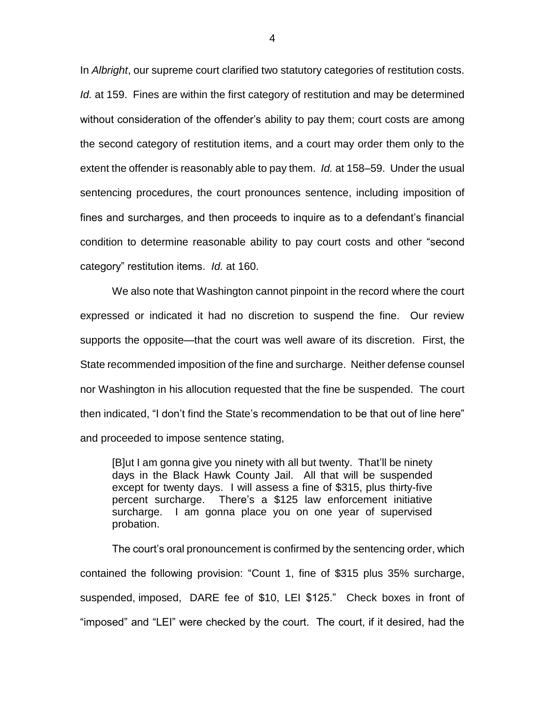In *Albright*, our supreme court clarified two statutory categories of restitution costs. *Id.* at 159. Fines are within the first category of restitution and may be determined without consideration of the offender's ability to pay them; court costs are among the second category of restitution items, and a court may order them only to the extent the offender is reasonably able to pay them. *Id.* at 158–59. Under the usual sentencing procedures, the court pronounces sentence, including imposition of fines and surcharges, and then proceeds to inquire as to a defendant's financial condition to determine reasonable ability to pay court costs and other "second category" restitution items. *Id.* at 160.

We also note that Washington cannot pinpoint in the record where the court expressed or indicated it had no discretion to suspend the fine. Our review supports the opposite—that the court was well aware of its discretion. First, the State recommended imposition of the fine and surcharge. Neither defense counsel nor Washington in his allocution requested that the fine be suspended. The court then indicated, "I don't find the State's recommendation to be that out of line here" and proceeded to impose sentence stating,

[B]ut I am gonna give you ninety with all but twenty. That'll be ninety days in the Black Hawk County Jail. All that will be suspended except for twenty days. I will assess a fine of \$315, plus thirty-five percent surcharge. There's a \$125 law enforcement initiative surcharge. I am gonna place you on one year of supervised probation.

The court's oral pronouncement is confirmed by the sentencing order, which contained the following provision: "Count 1, fine of \$315 plus 35% surcharge, suspended, imposed, DARE fee of \$10, LEI \$125." Check boxes in front of "imposed" and "LEI" were checked by the court. The court, if it desired, had the

4